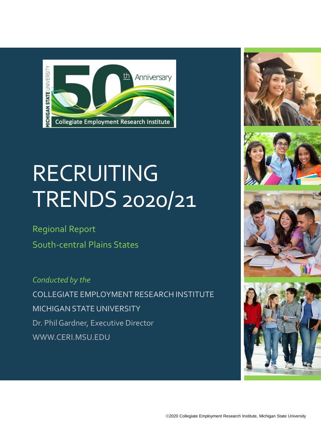

# **RECRUITING** TRENDS 2020/21

Regional Report South-central Plains States

*Conducted by the* COLLEGIATE EMPLOYMENT RESEARCH INSTITUTE MICHIGAN STATE UNIVERSITY Dr. Phil Gardner, Executive Director WWW.CERI.MSU.EDU







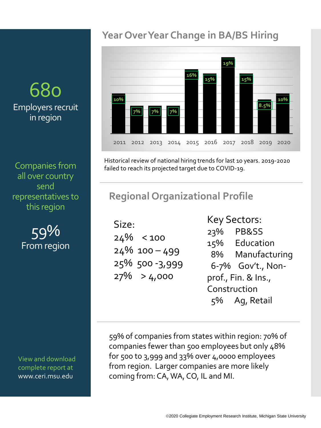# 680 Employers recruit in region

Companies from all over country send representatives to this region

> 59% From region

View and download complete report at www.ceri.msu.edu

#### **Year Over Year Change in BA/BS Hiring**



Historical review of national hiring trends for last 10 years. 2019-2020 failed to reach its projected target due to COVID-19.

#### **Regional Organizational Profile**

Size:  $24\%$  < 100  $24\%$  100 – 499 25% 500 -3,999  $27\% > 4,000$ 

Key Sectors: 23% PB&SS 15% Education 8% Manufacturing 6-7% Gov't., Nonprof., Fin. & Ins., Construction 5% Ag, Retail

59% of companies from states within region: 70% of companies fewer than 500 employees but only 48% for 500 to 3,999 and 33% over 4,0000 employees from region. Larger companies are more likely coming from: CA, WA, CO, IL and MI.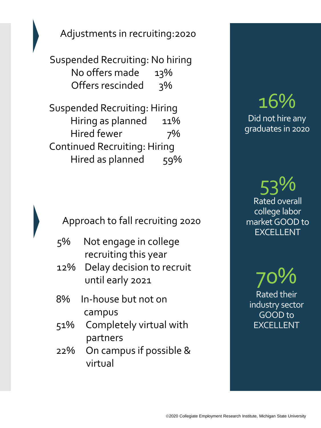Adjustments in recruiting:2020

Suspended Recruiting: No hiring No offers made 13% Offers rescinded 3%

Suspended Recruiting: Hiring Hiring as planned 11% Hired fewer 7% Continued Recruiting: Hiring Hired as planned 59%

Approach to fall recruiting 2020

- 5% Not engage in college recruiting this year
- 12% Delay decision to recruit until early 2021
- 8% In-house but not on campus
- 51% Completely virtual with partners
- 22% On campus if possible & virtual

# 16% Did not hire any graduates in 2020

53% Rated overall college labor market GOOD to EXCELLENT

70% Rated their industry sector GOOD to EXCELLENT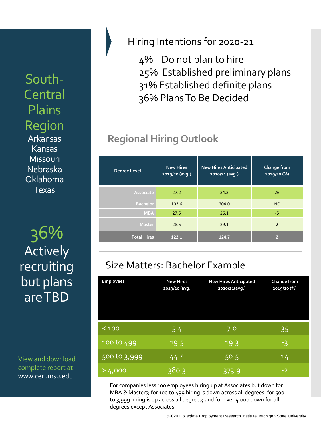South-Central Plains Region Arkansas Kansas **Missouri** Nebraska Oklahoma **Texas** 

36% **Total Hires 122.1 124.7 <sup>2</sup> Actively** recruiting but plans are TBD

View and download complete report at www.ceri.msu.edu

Hiring Intentions for 2020-21

4% Do not plan to hire 25% Established preliminary plans 31% Established definite plans 36% Plans To Be Decided

## **Regional Hiring Outlook**

| <b>Degree Level</b> | <b>New Hires</b><br>2019/20 (avg.) | <b>New Hires Anticipated</b><br>2020/21 (avg.) | Change from<br>2019/20 (%) |
|---------------------|------------------------------------|------------------------------------------------|----------------------------|
| Associate           | 27.2                               | 34.3                                           | 26                         |
| <b>Bachelor</b>     | 103.6                              | 204.0                                          | NC                         |
| <b>MBA</b>          | 27.5                               | 26.1                                           | $-5$                       |
| <b>Master</b>       | 28.5                               | 29.1                                           | $\overline{2}$             |
| <b>Total Hires</b>  | 122.1                              | 124.7                                          | $\overline{2}$             |

## Size Matters: Bachelor Example

| <b>Employees</b> | <b>New Hires</b><br>2019/20 (avg. | <b>New Hires Anticipated</b><br>2020/21(avg.) | Change from<br>2019/20 (%) |
|------------------|-----------------------------------|-----------------------------------------------|----------------------------|
| < 100            | 5.4                               | 7.0                                           | 35                         |
| 100 to 499       | 19.5                              | 19.3                                          | -3                         |
| 500 to 3,999     | 44.4                              | 50.5                                          | 14                         |
| >4,000           | 380.3                             | 373.9                                         | $-2$                       |

For companies less 100 employees hiring up at Associates but down for MBA & Masters; for 100 to 499 hiring is down across all degrees; for 500 to 3,999 hiring is up across all degrees; and for over 4,000 down for all degrees except Associates.